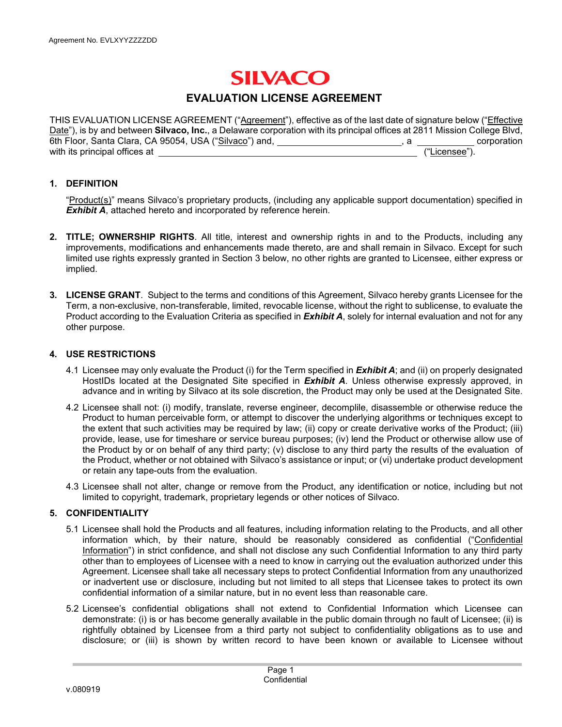# **SILVACO**

## **EVALUATION LICENSE AGREEMENT**

THIS EVALUATION LICENSE AGREEMENT ("Agreement"), effective as of the last date of signature below ("Effective Date"), is by and between **Silvaco, Inc.**, a Delaware corporation with its principal offices at 2811 Mission College Blvd, 6th Floor, Santa Clara, CA 95054, USA ("Silvaco") and, **and all and all and all and all and all and all and all a** corporation with its principal offices at ("Licensee").

#### **1. DEFINITION**

"Product(s)" means Silvaco's proprietary products, (including any applicable support documentation) specified in **Exhibit A**, attached hereto and incorporated by reference herein.

- **2. TITLE; OWNERSHIP RIGHTS**. All title, interest and ownership rights in and to the Products, including any improvements, modifications and enhancements made thereto, are and shall remain in Silvaco. Except for such limited use rights expressly granted in Section 3 below, no other rights are granted to Licensee, either express or implied.
- **3. LICENSE GRANT**. Subject to the terms and conditions of this Agreement, Silvaco hereby grants Licensee for the Term, a non-exclusive, non-transferable, limited, revocable license, without the right to sublicense, to evaluate the Product according to the Evaluation Criteria as specified in *Exhibit A*, solely for internal evaluation and not for any other purpose.

#### **4. USE RESTRICTIONS**

- 4.1Licensee may only evaluate the Product (i) for the Term specified in *Exhibit A*; and (ii) on properly designated HostIDs located at the Designated Site specified in *Exhibit A*. Unless otherwise expressly approved, in advance and in writing by Silvaco at its sole discretion, the Product may only be used at the Designated Site.
- 4.2 Licensee shall not: (i) modify, translate, reverse engineer, decomplile, disassemble or otherwise reduce the Product to human perceivable form, or attempt to discover the underlying algorithms or techniques except to the extent that such activities may be required by law; (ii) copy or create derivative works of the Product; (iii) provide, lease, use for timeshare or service bureau purposes; (iv) lend the Product or otherwise allow use of the Product by or on behalf of any third party; (v) disclose to any third party the results of the evaluation of the Product, whether or not obtained with Silvaco's assistance or input; or (vi) undertake product development or retain any tape-outs from the evaluation.
- 4.3 Licensee shall not alter, change or remove from the Product, any identification or notice, including but not limited to copyright, trademark, proprietary legends or other notices of Silvaco.

#### **5. CONFIDENTIALITY**

- 5.1 Licensee shall hold the Products and all features, including information relating to the Products, and all other information which, by their nature, should be reasonably considered as confidential ("Confidential Information") in strict confidence, and shall not disclose any such Confidential Information to any third party other than to employees of Licensee with a need to know in carrying out the evaluation authorized under this Agreement. Licensee shall take all necessary steps to protect Confidential Information from any unauthorized or inadvertent use or disclosure, including but not limited to all steps that Licensee takes to protect its own confidential information of a similar nature, but in no event less than reasonable care.
- 5.2 Licensee's confidential obligations shall not extend to Confidential Information which Licensee can demonstrate: (i) is or has become generally available in the public domain through no fault of Licensee; (ii) is rightfully obtained by Licensee from a third party not subject to confidentiality obligations as to use and disclosure; or (iii) is shown by written record to have been known or available to Licensee without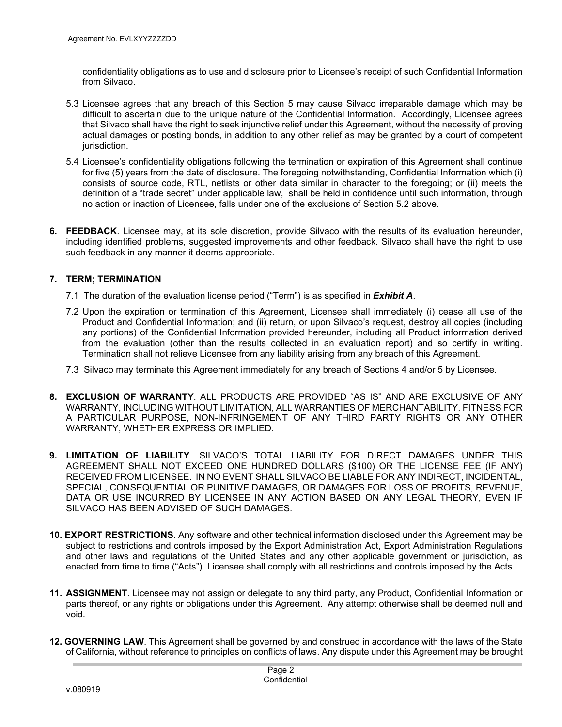confidentiality obligations as to use and disclosure prior to Licensee's receipt of such Confidential Information from Silvaco.

- 5.3 Licensee agrees that any breach of this Section 5 may cause Silvaco irreparable damage which may be difficult to ascertain due to the unique nature of the Confidential Information. Accordingly, Licensee agrees that Silvaco shall have the right to seek injunctive relief under this Agreement, without the necessity of proving actual damages or posting bonds, in addition to any other relief as may be granted by a court of competent jurisdiction.
- 5.4 Licensee's confidentiality obligations following the termination or expiration of this Agreement shall continue for five (5) years from the date of disclosure. The foregoing notwithstanding, Confidential Information which (i) consists of source code, RTL, netlists or other data similar in character to the foregoing; or (ii) meets the definition of a "trade secret" under applicable law, shall be held in confidence until such information, through no action or inaction of Licensee, falls under one of the exclusions of Section 5.2 above.
- **6. FEEDBACK**. Licensee may, at its sole discretion, provide Silvaco with the results of its evaluation hereunder, including identified problems, suggested improvements and other feedback. Silvaco shall have the right to use such feedback in any manner it deems appropriate.

#### **7. TERM; TERMINATION**

- 7.1The duration of the evaluation license period ("Term") is as specified in *Exhibit A*.
- 7.2Upon the expiration or termination of this Agreement, Licensee shall immediately (i) cease all use of the Product and Confidential Information; and (ii) return, or upon Silvaco's request, destroy all copies (including any portions) of the Confidential Information provided hereunder, including all Product information derived from the evaluation (other than the results collected in an evaluation report) and so certify in writing. Termination shall not relieve Licensee from any liability arising from any breach of this Agreement.
- 7.3Silvaco may terminate this Agreement immediately for any breach of Sections 4 and/or 5 by Licensee.
- **8. EXCLUSION OF WARRANTY**. ALL PRODUCTS ARE PROVIDED "AS IS" AND ARE EXCLUSIVE OF ANY WARRANTY, INCLUDING WITHOUT LIMITATION, ALL WARRANTIES OF MERCHANTABILITY, FITNESS FOR A PARTICULAR PURPOSE, NON-INFRINGEMENT OF ANY THIRD PARTY RIGHTS OR ANY OTHER WARRANTY, WHETHER EXPRESS OR IMPLIED.
- **9. LIMITATION OF LIABILITY**. SILVACO'S TOTAL LIABILITY FOR DIRECT DAMAGES UNDER THIS AGREEMENT SHALL NOT EXCEED ONE HUNDRED DOLLARS (\$100) OR THE LICENSE FEE (IF ANY) RECEIVED FROM LICENSEE. IN NO EVENT SHALL SILVACO BE LIABLE FOR ANY INDIRECT, INCIDENTAL, SPECIAL, CONSEQUENTIAL OR PUNITIVE DAMAGES, OR DAMAGES FOR LOSS OF PROFITS, REVENUE, DATA OR USE INCURRED BY LICENSEE IN ANY ACTION BASED ON ANY LEGAL THEORY, EVEN IF SILVACO HAS BEEN ADVISED OF SUCH DAMAGES.
- **10. EXPORT RESTRICTIONS.** Any software and other technical information disclosed under this Agreement may be subject to restrictions and controls imposed by the Export Administration Act, Export Administration Regulations and other laws and regulations of the United States and any other applicable government or jurisdiction, as enacted from time to time ("Acts"). Licensee shall comply with all restrictions and controls imposed by the Acts.
- **11. ASSIGNMENT**. Licensee may not assign or delegate to any third party, any Product, Confidential Information or parts thereof, or any rights or obligations under this Agreement. Any attempt otherwise shall be deemed null and void.
- **12. GOVERNING LAW**. This Agreement shall be governed by and construed in accordance with the laws of the State of California, without reference to principles on conflicts of laws. Any dispute under this Agreement may be brought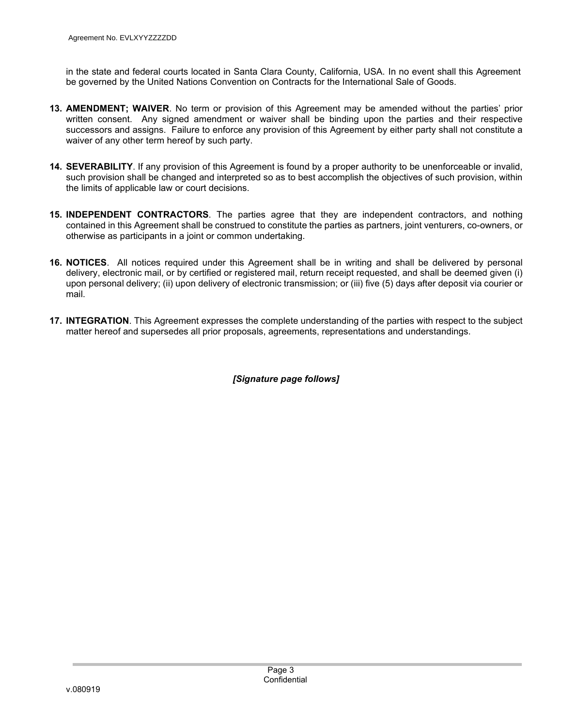in the state and federal courts located in Santa Clara County, California, USA. In no event shall this Agreement be governed by the United Nations Convention on Contracts for the International Sale of Goods.

- **13. AMENDMENT; WAIVER**. No term or provision of this Agreement may be amended without the parties' prior written consent. Any signed amendment or waiver shall be binding upon the parties and their respective successors and assigns. Failure to enforce any provision of this Agreement by either party shall not constitute a waiver of any other term hereof by such party.
- **14. SEVERABILITY**. If any provision of this Agreement is found by a proper authority to be unenforceable or invalid, such provision shall be changed and interpreted so as to best accomplish the objectives of such provision, within the limits of applicable law or court decisions.
- **15. INDEPENDENT CONTRACTORS**. The parties agree that they are independent contractors, and nothing contained in this Agreement shall be construed to constitute the parties as partners, joint venturers, co-owners, or otherwise as participants in a joint or common undertaking.
- **16. NOTICES**. All notices required under this Agreement shall be in writing and shall be delivered by personal delivery, electronic mail, or by certified or registered mail, return receipt requested, and shall be deemed given (i) upon personal delivery; (ii) upon delivery of electronic transmission; or (iii) five (5) days after deposit via courier or mail.
- **17. INTEGRATION**. This Agreement expresses the complete understanding of the parties with respect to the subject matter hereof and supersedes all prior proposals, agreements, representations and understandings.

## *[Signature page follows]*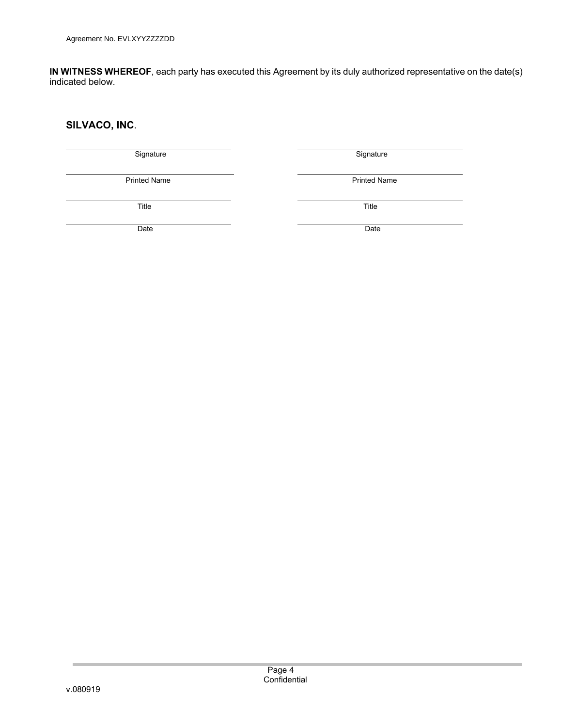**IN WITNESS WHEREOF**, each party has executed this Agreement by its duly authorized representative on the date(s) indicated below.

## **SILVACO, INC**.

| Signature           | Signature           |
|---------------------|---------------------|
| <b>Printed Name</b> | <b>Printed Name</b> |
| Title               | Title               |
| Date                | Date                |